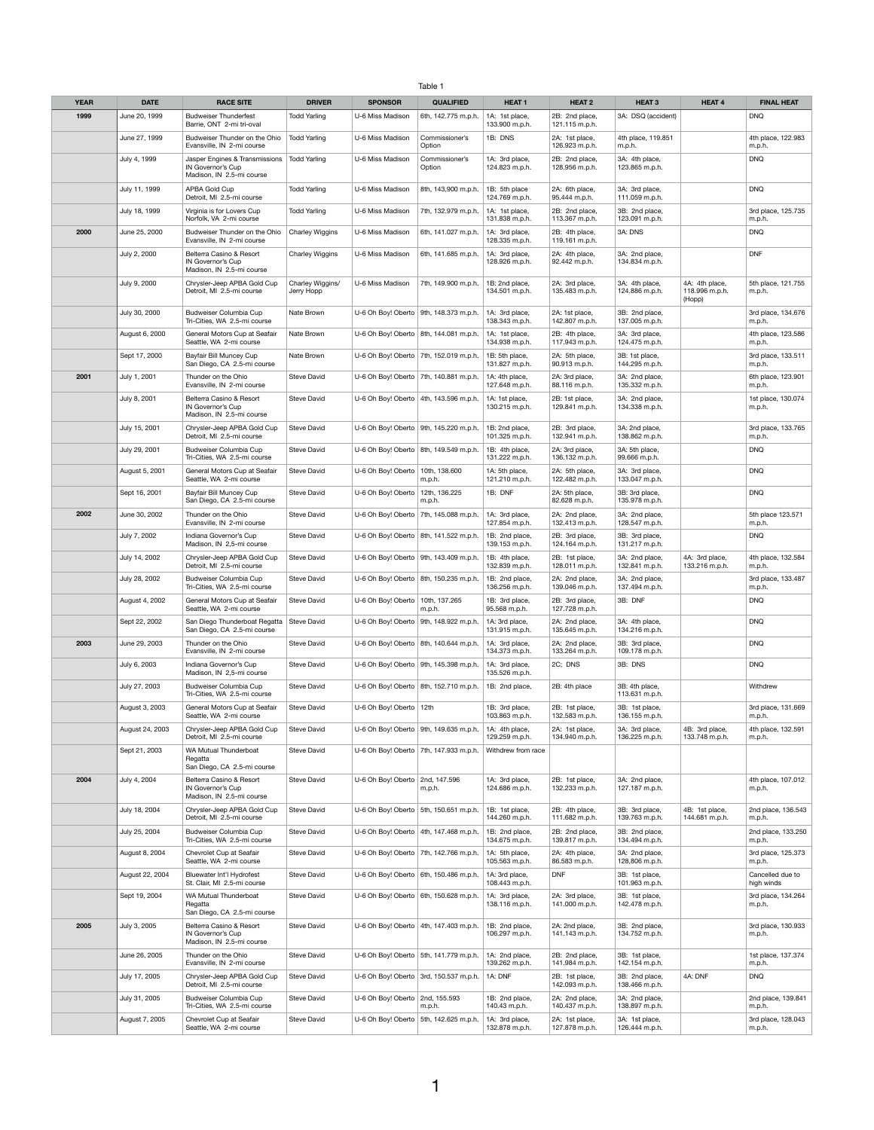## Table 1

| <b>YEAR</b> | <b>DATE</b>     | <b>RACE SITE</b>                                                                 | <b>DRIVER</b>                  | <b>SPONSOR</b>                           | <b>QUALIFIED</b>                           | <b>HEAT 1</b>                        | <b>HEAT 2</b>                    | <b>HEAT 3</b>                    | <b>HEAT 4</b>                              | <b>FINAL HEAT</b>              |
|-------------|-----------------|----------------------------------------------------------------------------------|--------------------------------|------------------------------------------|--------------------------------------------|--------------------------------------|----------------------------------|----------------------------------|--------------------------------------------|--------------------------------|
| 1999        | June 20, 1999   | <b>Budweiser Thunderfest</b><br>Barrie, ONT 2-mi tri-oval                        | <b>Todd Yarling</b>            | U-6 Miss Madison                         | 6th, 142.775 m.p.h.                        | 1A: 1st place,<br>133.900 m.p.h.     | 2B: 2nd place,<br>121.115 m.p.h. | 3A: DSQ (accident)               |                                            | <b>DNQ</b>                     |
|             | June 27, 1999   | Budweiser Thunder on the Ohio<br>Evansville, IN 2-mi course                      | <b>Todd Yarling</b>            | U-6 Miss Madison                         | Commissioner's<br>Option                   | 1B: DNS                              | 2A: 1st place,<br>126.923 m.p.h. | 4th place, 119.851<br>m.p.h.     |                                            | 4th place, 122.983<br>m.p.h.   |
|             | July 4, 1999    | Jasper Engines & Transmissions<br>IN Governor's Cup<br>Madison, IN 2.5-mi course | <b>Todd Yarling</b>            | U-6 Miss Madison                         | Commissioner's<br>Option                   | 1A: 3rd place,<br>124.823 m.p.h.     | 2B: 2nd place,<br>128.956 m.p.h. | 3A: 4th place,<br>123.865 m.p.h. |                                            | <b>DNQ</b>                     |
|             | July 11, 1999   | APBA Gold Cup<br>Detroit, MI 2.5-mi course                                       | <b>Todd Yarling</b>            | U-6 Miss Madison                         | 8th, 143,900 m.p.h.                        | 1B: 5th place<br>124.769 m.p.h.      | 2A: 6th place,<br>95.444 m.p.h.  | 3A: 3rd place,<br>111.059 m.p.h. |                                            | <b>DNQ</b>                     |
|             | July 18, 1999   | Virginia is for Lovers Cup<br>Norfolk, VA 2-mi course                            | <b>Todd Yarling</b>            | U-6 Miss Madison                         | 7th, 132.979 m.p.h.                        | 1A: 1st place,<br>131.838 m.p.h.     | 2B: 2nd place,<br>113.367 m.p.h. | 3B: 2nd place,<br>123.091 m.p.h. |                                            | 3rd place, 125.735<br>m.p.h.   |
| 2000        | June 25, 2000   | Budweiser Thunder on the Ohio<br>Evansville, IN 2-mi course                      | <b>Charley Wiggins</b>         | U-6 Miss Madison                         | 6th, 141.027 m.p.h.                        | 1A: 3rd place,<br>128.335 m.p.h.     | 2B: 4th place,<br>119.161 m.p.h. | 3A: DNS                          |                                            | <b>DNQ</b>                     |
|             | July 2, 2000    | Belterra Casino & Resort<br>IN Governor's Cup<br>Madison, IN 2.5-mi course       | <b>Charley Wiggins</b>         | U-6 Miss Madison                         | 6th, 141.685 m.p.h.                        | 1A: 3rd place,<br>128.926 m.p.h.     | 2A: 4th place,<br>92.442 m.p.h.  | 3A: 2nd place,<br>134.834 m.p.h. |                                            | <b>DNF</b>                     |
|             | July 9, 2000    | Chrysler-Jeep APBA Gold Cup<br>Detroit, MI 2.5-mi course                         | Charley Wiggins/<br>Jerry Hopp | U-6 Miss Madison                         | 7th, 149.900 m.p.h.                        | 1B: 2nd place,<br>134.501 m.p.h.     | 2A: 3rd place,<br>135.483 m.p.h. | 3A: 4th place,<br>124.886 m.p.h. | 4A: 4th place,<br>118.996 m.p.h.<br>(Hopp) | 5th place, 121.755<br>m.p.h.   |
|             | July 30, 2000   | Budweiser Columbia Cup<br>Tri-Cities, WA 2.5-mi course                           | Nate Brown                     |                                          | U-6 Oh Boy! Oberto   9th, 148.373 m.p.h.   | 1A: 3rd place,<br>138.343 m.p.h.     | 2A: 1st place,<br>142.807 m.p.h. | 3B: 2nd place,<br>137.005 m.p.h. |                                            | 3rd place, 134.676<br>m.p.h.   |
|             | August 6, 2000  | General Motors Cup at Seafair<br>Seattle, WA 2-mi course                         | Nate Brown                     |                                          | U-6 Oh Boy! Oberto   8th, 144.081 m.p.h.   | 1A: 1st place,<br>134.938 m.p.h.     | 2B: 4th place,<br>117.943 m.p.h. | 3A: 3rd place,<br>124.475 m.p.h. |                                            | 4th place, 123.586<br>m.p.h.   |
|             | Sept 17, 2000   | Bayfair Bill Muncey Cup<br>San Diego, CA 2.5-mi course                           | Nate Brown                     |                                          | U-6 Oh Boy! Oberto   7th, 152.019 m.p.h.   | 1B: 5th place,<br>131.827 m.p.h.     | 2A: 5th place,<br>90.913 m.p.h.  | 3B: 1st place,<br>144.295 m.p.h. |                                            | 3rd place, 133.511<br>m.p.h.   |
| 2001        | July 1, 2001    | Thunder on the Ohio<br>Evansville, IN 2-mi course                                | <b>Steve David</b>             |                                          | U-6 Oh Boy! Oberto   7th, 140.881 m.p.h.   | 1A: 4th place,<br>127.648 m.p.h.     | 2A: 3rd place,<br>88.116 m.p.h.  | 3A: 2nd place,<br>135.332 m.p.h. |                                            | 6th place, 123.901<br>m.p.h.   |
|             | July 8, 2001    | Belterra Casino & Resort<br>IN Governor's Cup<br>Madison, IN 2.5-mi course       | <b>Steve David</b>             |                                          | U-6 Oh Boy! Oberto   4th, 143.596 m.p.h.   | 1A: 1st place,<br>130.215 m.p.h.     | 2B: 1st place,<br>129.841 m.p.h. | 3A: 2nd place,<br>134.338 m.p.h. |                                            | 1st place, 130.074<br>m.p.h.   |
|             | July 15, 2001   | Chrysler-Jeep APBA Gold Cup<br>Detroit, MI 2.5-mi course                         | <b>Steve David</b>             |                                          | U-6 Oh Boy! Oberto   9th, 145.220 m.p.h.   | 1B: 2nd place,<br>101.325 m.p.h.     | 2B: 3rd place,<br>132.941 m.p.h. | 3A: 2nd place,<br>138.862 m.p.h. |                                            | 3rd place, 133.765<br>m.p.h.   |
|             | July 29, 2001   | Budweiser Columbia Cup<br>Tri-Cities, WA 2.5-mi course                           | <b>Steve David</b>             |                                          | U-6 Oh Boy! Oberto   8th, 149.549 m.p.h.   | 1B: 4th place,<br>131.222 m.p.h.     | 2A: 3rd place,<br>136.132 m.p.h. | 3A: 5th place,<br>99.666 m.p.h.  |                                            | <b>DNQ</b>                     |
|             | August 5, 2001  | General Motors Cup at Seafair<br>Seattle, WA 2-mi course                         | <b>Steve David</b>             | U-6 Oh Boy! Oberto   10th, 138.600       | m.p.h.                                     | 1A: 5th place,<br>121.210 m.p.h.     | 2A: 5th place,<br>122.482 m.p.h. | 3A: 3rd place,<br>133.047 m.p.h. |                                            | <b>DNQ</b>                     |
|             | Sept 16, 2001   | Bayfair Bill Muncey Cup<br>San Diego, CA 2.5-mi course                           | <b>Steve David</b>             | U-6 Oh Boy! Oberto                       | 12th, 136.225<br>m.p.h.                    | 1B: DNF                              | 2A: 5th place,<br>82.628 m.p.h.  | 3B: 3rd place,<br>135.978 m.p.h. |                                            | <b>DNQ</b>                     |
| 2002        | June 30, 2002   | Thunder on the Ohio<br>Evansville, IN 2-mi course                                | <b>Steve David</b>             |                                          | U-6 Oh Boy! Oberto   7th, 145.088 m.p.h.   | 1A: 3rd place,<br>127.854 m.p.h.     | 2A: 2nd place,<br>132.413 m.p.h. | 3A: 2nd place,<br>128.547 m.p.h. |                                            | 5th place 123.571<br>m.p.h.    |
|             | July 7, 2002    | Indiana Governor's Cup<br>Madison, IN 2,5-mi course                              | <b>Steve David</b>             |                                          | U-6 Oh Boy! Oberto   8th, 141.522 m.p.h.   | 1B: 2nd place,<br>139.153 m.p.h.     | 2B: 3rd place,<br>124.164 m.p.h. | 3B: 3rd place,<br>131.217 m.p.h. |                                            | <b>DNQ</b>                     |
|             | July 14, 2002   | Chrysler-Jeep APBA Gold Cup<br>Detroit, MI 2.5-mi course                         | <b>Steve David</b>             |                                          | U-6 Oh Boy! Oberto   9th, 143.409 m.p.h.   | 1B: 4th place,<br>132.839 m.p.h.     | 2B: 1st place,<br>128.011 m.p.h. | 3A: 2nd place,<br>132.841 m.p.h. | 4A: 3rd place,<br>133.216 m.p.h.           | 4th place, 132.584<br>m.p.h.   |
|             | July 28, 2002   | Budweiser Columbia Cup<br>Tri-Cities, WA 2.5-mi course                           | <b>Steve David</b>             |                                          | U-6 Oh Boy! Oberto   8th, 150.235 m.p.h.   | 1B: 2nd place,<br>136.256 m.p.h.     | 2A: 2nd place,<br>139.046 m.p.h. | 3A: 2nd place,<br>137.494 m.p.h. |                                            | 3rd place, 133.487<br>m.p.h.   |
|             | August 4, 2002  | General Motors Cup at Seafair<br>Seattle, WA 2-mi course                         | <b>Steve David</b>             | U-6 Oh Boy! Oberto   10th, 137.265       | m.p.h.                                     | 1B: 3rd place,<br>95.568 m.p.h.      | 2B: 3rd place,<br>127.728 m.p.h. | 3B: DNF                          |                                            | <b>DNQ</b>                     |
|             | Sept 22, 2002   | San Diego Thunderboat Regatta<br>San Diego, CA 2.5-mi course                     | Steve David                    |                                          | U-6 Oh Boy! Oberto   9th, 148.922 m.p.h.   | 1A: 3rd place,<br>131.915 m.p.h.     | 2A: 2nd place,<br>135.645 m.p.h. | 3A: 4th place,<br>134.216 m.p.h. |                                            | <b>DNQ</b>                     |
| 2003        | June 29, 2003   | Thunder on the Ohio<br>Evansville, IN 2-mi course                                | <b>Steve David</b>             | U-6 Oh Boy! Oberto   8th, 140.644 m.p.h. |                                            | 1A: 3rd place,<br>134.373 m.p.h.     | 2A: 2nd place,<br>133.264 m.p.h. | 3B: 3rd place,<br>109.178 m.p.h. |                                            | <b>DNQ</b>                     |
|             | July 6, 2003    | Indiana Governor's Cup<br>Madison, IN 2,5-mi course                              | <b>Steve David</b>             |                                          | U-6 Oh Boy! Oberto   9th, 145.398 m.p.h.   | 1A: 3rd place,<br>135.526 m.p.h.     | 2C; DNS                          | 3B: DNS                          |                                            | <b>DNQ</b>                     |
|             | July 27, 2003   | Budweiser Columbia Cup<br>Tri-Cities, WA 2.5-mi course                           | <b>Steve David</b>             |                                          | U-6 Oh Boy! Oberto   8th, $152.710$ m.p.h. | 1B: 2nd place,                       | 2B: 4th place                    | 3B: 4th place,<br>113.631 m.p.h. |                                            | Withdrew                       |
|             | August 3, 2003  | General Motors Cup at Seafair                                                    | <b>Steve David</b>             | U-6 Oh Boy! Oberto   12th                |                                            | 1B: 3rd place,                       | 2B: 1st place,                   | 3B: 1st place,                   |                                            | 3rd place, 131.669             |
|             | August 24, 2003 | Seattle, WA 2-mi course<br>Chrysler-Jeep APBA Gold Cup                           | Steve David                    |                                          | U-6 Oh Boy! Oberto   9th, 149.635 m.p.h.   | 103.863 m.p.h.<br>1A: 4th place,     | 132.583 m.p.h.<br>2A: 1st place, | 136.155 m.p.h.<br>3A: 3rd place, | 4B: 3rd place,                             | m.p.h.<br>4th place, 132.591   |
|             | Sept 21, 2003   | Detroit, MI 2.5-mi course<br><b>WA Mutual Thunderboat</b>                        | <b>Steve David</b>             |                                          | U-6 Oh Boy! Oberto   7th, 147.933 m.p.h.   | 129.259 m.p.h.<br>Withdrew from race | 134.940 m.p.h.                   | 136.225 m.p.h.                   | 133.748 m.p.h.                             | m.p.h.                         |
|             |                 | Regatta<br>San Diego, CA 2.5-mi course                                           |                                |                                          |                                            |                                      |                                  |                                  |                                            |                                |
| 2004        | July 4, 2004    | Belterra Casino & Resort<br>IN Governor's Cup<br>Madison, IN 2.5-mi course       | <b>Steve David</b>             | U-6 Oh Boy! Oberto                       | 2nd, 147.596<br>m.p.h.                     | 1A: 3rd place,<br>124.686 m.p.h.     | 2B: 1st place,<br>132.233 m.p.h. | 3A: 2nd place,<br>127.187 m.p.h. |                                            | 4th place, 107.012<br>m.p.h.   |
|             | July 18, 2004   | Chrysler-Jeep APBA Gold Cup<br>Detroit, MI 2.5-mi course                         | <b>Steve David</b>             |                                          | U-6 Oh Boy! Oberto   5th, 150.651 m.p.h.   | 1B: 1st place,<br>144.260 m.p.h.     | 2B: 4th place,<br>111.682 m.p.h. | 3B: 3rd place,<br>139.763 m.p.h. | 4B: 1st place,<br>144.681 m.p.h.           | 2nd place, 136.543<br>m.p.h.   |
|             | July 25, 2004   | Budweiser Columbia Cup<br>Tri-Cities, WA 2.5-mi course                           | <b>Steve David</b>             |                                          | U-6 Oh Boy! Oberto   4th, 147.468 m.p.h.   | 1B: 2nd place,<br>134.675 m.p.h.     | 2B: 2nd place,<br>139.817 m.p.h. | 3B: 2nd place,<br>134.494 m.p.h. |                                            | 2nd place, 133.250<br>m.p.h.   |
|             | August 8, 2004  | Chevrolet Cup at Seafair<br>Seattle, WA 2-mi course                              | <b>Steve David</b>             |                                          | U-6 Oh Boy! Oberto   7th, 142.766 m.p.h.   | 1A: 5th place,<br>105.563 m.p.h.     | 2A: 4th place,<br>86.583 m.p.h.  | 3A: 2nd place,<br>128,806 m.p.h. |                                            | 3rd place, 125.373<br>m.p.h.   |
|             | August 22, 2004 | Bluewater Int'l Hydrofest<br>St. Clair, MI 2.5-mi course                         | <b>Steve David</b>             |                                          | U-6 Oh Boy! Oberto   6th, 150.486 m.p.h.   | 1A: 3rd place,<br>108.443 m.p.h.     | <b>DNF</b>                       | 3B: 1st place,<br>101.963 m.p.h. |                                            | Cancelled due to<br>high winds |
|             | Sept 19, 2004   | WA Mutual Thunderboat<br>Regatta<br>San Diego, CA 2.5-mi course                  | <b>Steve David</b>             |                                          | U-6 Oh Boy! Oberto   6th, 150.628 m.p.h.   | 1A: 3rd place,<br>138.116 m.p.h.     | 2A: 3rd place,<br>141.000 m.p.h. | 3B: 1st place,<br>142.478 m.p.h. |                                            | 3rd place, 134.264<br>m.p.h.   |
| 2005        | July 3, 2005    | Belterra Casino & Resort<br>IN Governor's Cup<br>Madison, IN 2.5-mi course       | <b>Steve David</b>             |                                          | U-6 Oh Boy! Oberto   4th, 147.403 m.p.h.   | 1B: 2nd place,<br>106.297 m.p.h.     | 2A: 2nd place,<br>141.143 m.p.h. | 3B: 2nd place,<br>134.752 m.p.h. |                                            | 3rd place, 130.933<br>m.p.h.   |
|             | June 26, 2005   | Thunder on the Ohio<br>Evansville, IN 2-mi course                                | <b>Steve David</b>             |                                          | U-6 Oh Boy! Oberto   5th, 141.779 m.p.h.   | 1A: 2nd place,<br>139.262 m.p.h.     | 2B: 2nd place,<br>141.984 m.p.h. | 3B: 1st place,<br>142.154 m.p.h. |                                            | 1st place, 137.374<br>m.p.h.   |
|             | July 17, 2005   | Chrysler-Jeep APBA Gold Cup<br>Detroit, MI 2.5-mi course                         | <b>Steve David</b>             |                                          | U-6 Oh Boy! Oberto   3rd, 150.537 m.p.h.   | 1A: DNF                              | 2B: 1st place,<br>142.093 m.p.h. | 3B: 2nd place,<br>138.466 m.p.h. | 4A: DNF                                    | <b>DNQ</b>                     |
|             | July 31, 2005   | Budweiser Columbia Cup<br>Tri-Cities, WA 2.5-mi course                           | <b>Steve David</b>             | U-6 Oh Boy! Oberto   2nd, 155.593        | m.p.h.                                     | 1B: 2nd place,<br>140.43 m.p.h.      | 2A: 2nd place,<br>140.437 m.p.h. | 3A: 2nd place,<br>138.897 m.p.h. |                                            | 2nd place, 139.841<br>m.p.h.   |
|             | August 7, 2005  | Chevrolet Cup at Seafair<br>Seattle, WA 2-mi course                              | Steve David                    |                                          | U-6 Oh Boy! Oberto   5th, 142.625 m.p.h.   | 1A: 3rd place,<br>132.878 m.p.h.     | 2A: 1st place,<br>127.878 m.p.h. | 3A: 1st place,<br>126.444 m.p.h. |                                            | 3rd place, 128.043<br>m.p.h.   |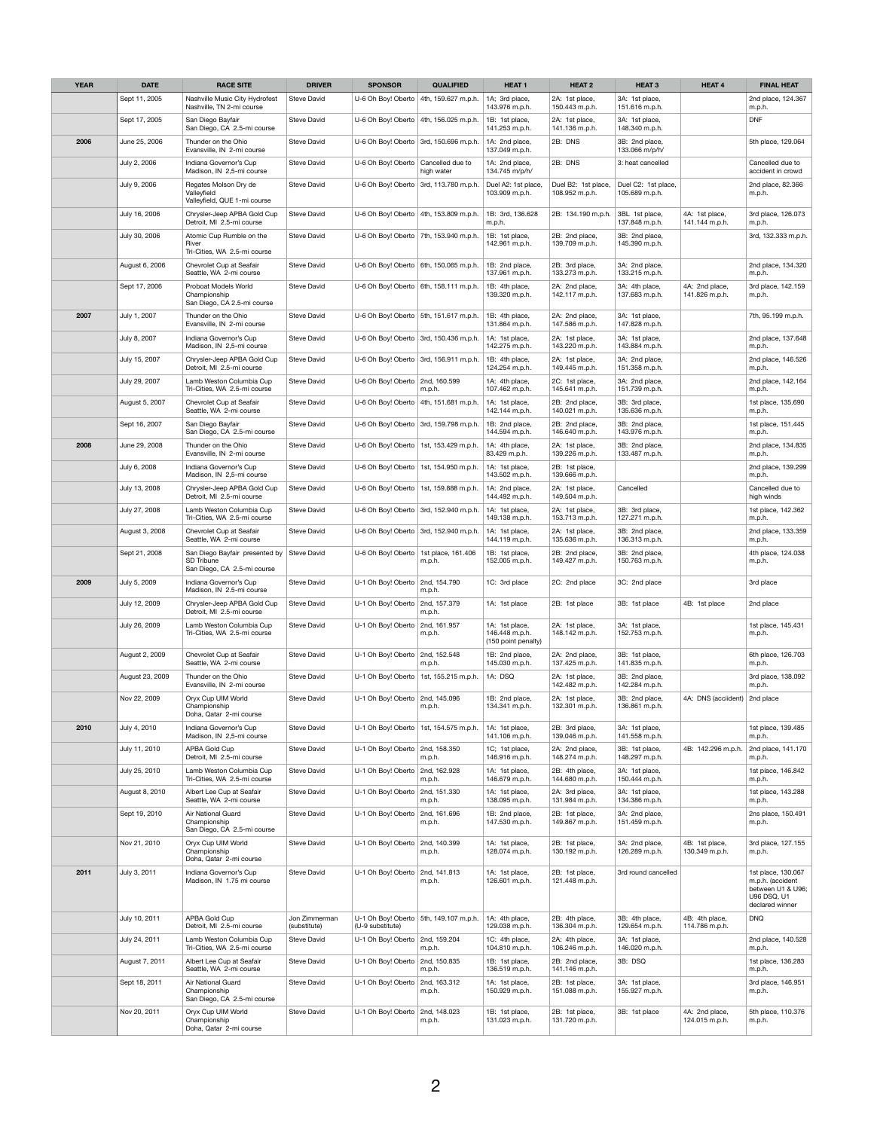| <b>YEAR</b> | <b>DATE</b>     | <b>RACE SITE</b>                                                                      | <b>DRIVER</b>                 | <b>SPONSOR</b>                           | <b>QUALIFIED</b>                                   | <b>HEAT 1</b>                                           | <b>HEAT 2</b>                                      | <b>HEAT 3</b>                                      | <b>HEAT 4</b>                    | <b>FINAL HEAT</b>                                                              |
|-------------|-----------------|---------------------------------------------------------------------------------------|-------------------------------|------------------------------------------|----------------------------------------------------|---------------------------------------------------------|----------------------------------------------------|----------------------------------------------------|----------------------------------|--------------------------------------------------------------------------------|
|             | Sept 11, 2005   | Nashville Music City Hydrofest<br>Nashville, TN 2-mi course                           | <b>Steve David</b>            | U-6 Oh Boy! Oberto   4th, 159.627 m.p.h. |                                                    | 1A; 3rd place,<br>143.976 m.p.h.                        | 2A: 1st place,<br>150.443 m.p.h.                   | 3A: 1st place,<br>151.616 m.p.h.                   |                                  | 2nd place, 124.367<br>m.p.h.                                                   |
|             | Sept 17, 2005   | San Diego Bayfair<br>San Diego, CA 2.5-mi course                                      | <b>Steve David</b>            | U-6 Oh Boy! Oberto   4th, 156.025 m.p.h. |                                                    | 1B: 1st place,<br>141.253 m.p.h.                        | 2A: 1st place,<br>141.136 m.p.h.                   | 3A: 1st place,<br>148.340 m.p.h.                   |                                  | <b>DNF</b>                                                                     |
| 2006        | June 25, 2006   | Thunder on the Ohio<br>Evansville, IN 2-mi course                                     | <b>Steve David</b>            |                                          | U-6 Oh Boy! Oberto   3rd, 150.696 m.p.h.           | 1A: 2nd place,<br>137.049 m.p.h.                        | 2B: DNS                                            | 3B: 2nd place,<br>133.066 m/p/h/                   |                                  | 5th place, 129.064                                                             |
|             | July 2, 2006    | Indiana Governor's Cup<br>Madison, IN 2,5-mi course                                   | <b>Steve David</b>            | U-6 Oh Boy! Oberto   Cancelled due to    | high water                                         | 1A: 2nd place,<br>134.745 m/p/h/                        | 2B: DNS                                            | 3: heat cancelled                                  |                                  | Cancelled due to<br>accident in crowd                                          |
|             | July 9, 2006    | Regates Molson Dry de<br>Valleyfield<br>Valleyfield, QUE 1-mi course                  | <b>Steve David</b>            | U-6 Oh Boy! Oberto                       | 3rd, 113.780 m.p.h.                                | Duel A2: 1st place,<br>103.909 m.p.h.                   | Duel B2: 1st place,<br>108.952 m.p.h.              | Duel C2: 1st place,<br>105.689 m.p.h.              |                                  | 2nd place, 82.366<br>m.p.h.                                                    |
|             | July 16, 2006   | Chrysler-Jeep APBA Gold Cup<br>Detroit, MI 2.5-mi course                              | <b>Steve David</b>            | U-6 Oh Boy! Oberto   4th, 153.809 m.p.h. |                                                    | 1B: 3rd, 136.628<br>m.p.h.                              | 2B: 134.190 m.p.h.                                 | 3BL 1st place,<br>137.848 m.p.h.                   | 4A: 1st place,<br>141.144 m.p.h. | 3rd place, 126.073<br>m.p.h.                                                   |
|             | July 30, 2006   | Atomic Cup Rumble on the<br>River<br>Tri-Cities, WA 2.5-mi course                     | <b>Steve David</b>            | U-6 Oh Boy! Oberto   7th, 153.940 m.p.h. |                                                    | 1B: 1st place,<br>142.961 m.p.h.                        | 2B: 2nd place,<br>139.709 m.p.h.                   | 3B: 2nd place,<br>145.390 m.p.h.                   |                                  | 3rd, 132.333 m.p.h.                                                            |
|             | August 6, 2006  | Chevrolet Cup at Seafair<br>Seattle, WA 2-mi course                                   | <b>Steve David</b>            | U-6 Oh Boy! Oberto   6th, 150.065 m.p.h. |                                                    | 1B: 2nd place,<br>137.961 m.p.h.                        | 2B: 3rd place,<br>133.273 m.p.h.                   | 3A: 2nd place,<br>133.215 m.p.h.                   |                                  | 2nd place, 134.320<br>m.p.h.                                                   |
|             | Sept 17, 2006   | Proboat Models World<br>Championship<br>San Diego, CA 2.5-mi course                   | <b>Steve David</b>            |                                          | U-6 Oh Boy! Oberto   6th, 158.111 m.p.h.           | 1B: 4th place,<br>139.320 m.p.h.                        | 2A: 2nd place,<br>142.117 m.p.h.                   | 3A: 4th place,<br>137.683 m.p.h.                   | 4A: 2nd place,<br>141.826 m.p.h. | 3rd place, 142.159<br>m.p.h.                                                   |
| 2007        | July 1, 2007    | Thunder on the Ohio<br>Evansville, IN 2-mi course                                     | <b>Steve David</b>            | U-6 Oh Boy! Oberto   5th, 151.617 m.p.h. |                                                    | 1B: 4th place,<br>131.864 m.p.h.                        | 2A: 2nd place,<br>147.586 m.p.h.                   | 3A: 1st place,<br>147.828 m.p.h.                   |                                  | 7th, 95.199 m.p.h.                                                             |
|             | July 8, 2007    | Indiana Governor's Cup<br>Madison, IN 2,5-mi course                                   | <b>Steve David</b>            |                                          | U-6 Oh Boy! Oberto   3rd, 150.436 m.p.h.           | 1A: 1st place,<br>142.275 m.p.h.                        | 2A: 1st place,<br>143.220 m.p.h.                   | 3A: 1st place,<br>143.884 m.p.h.                   |                                  | 2nd place, 137.648<br>m.p.h.                                                   |
|             | July 15, 2007   | Chrysler-Jeep APBA Gold Cup<br>Detroit, MI 2.5-mi course                              | <b>Steve David</b>            |                                          | U-6 Oh Boy! Oberto   3rd, 156.911 m.p.h.           | 1B: 4th place,<br>124.254 m.p.h.                        | 2A: 1st place,<br>149.445 m.p.h.                   | 3A: 2nd place,<br>151.358 m.p.h.                   |                                  | 2nd place, 146.526<br>m.p.h.                                                   |
|             | July 29, 2007   | Lamb Weston Columbia Cup<br>Tri-Cities, WA 2.5-mi course                              | <b>Steve David</b>            | U-6 Oh Boy! Oberto   2nd, 160.599        | m.p.h.                                             | 1A: 4th place,<br>107.462 m.p.h.                        | 2C: 1st place,<br>145.641 m.p.h.                   | 3A: 2nd place,<br>151.739 m.p.h.                   |                                  | 2nd place, 142.164<br>m.p.h.                                                   |
|             | August 5, 2007  | Chevrolet Cup at Seafair<br>Seattle, WA 2-mi course                                   | <b>Steve David</b>            |                                          | U-6 Oh Boy! Oberto   4th, 151.681 m.p.h.           | 1A: 1st place,<br>142.144 m.p.h.                        | 2B: 2nd place,<br>140.021 m.p.h.                   | 3B: 3rd place,<br>135.636 m.p.h.                   |                                  | 1st place, 135.690<br>m.p.h.                                                   |
|             | Sept 16, 2007   | San Diego Bayfair<br>San Diego, CA 2.5-mi course                                      | <b>Steve David</b>            |                                          | U-6 Oh Boy! Oberto   3rd, 159.798 m.p.h.           | 1B: 2nd place,<br>144.594 m.p.h.                        | 2B: 2nd place,<br>146.640 m.p.h.                   | 3B: 2nd place,<br>143.976 m.p.h.                   |                                  | 1st place, 151.445<br>m.p.h.                                                   |
| 2008        | June 29, 2008   | Thunder on the Ohio<br>Evansville, IN 2-mi course                                     | <b>Steve David</b>            | U-6 Oh Boy! Oberto   1st, 153.429 m.p.h. |                                                    | 1A: 4th place,<br>83.429 m.p.h.                         | 2A: 1st place,<br>139.226 m.p.h.                   | 3B: 2nd place,<br>133.487 m.p.h.                   |                                  | 2nd place, 134.835                                                             |
|             | July 6, 2008    | Indiana Governor's Cup<br>Madison, IN 2,5-mi course                                   | <b>Steve David</b>            | U-6 Oh Boy! Oberto   1st, 154.950 m.p.h. |                                                    | 1A: 1st place,<br>143.502 m.p.h.                        | 2B: 1st place,<br>139.666 m.p.h.                   |                                                    |                                  | m.p.h.<br>2nd place, 139.299<br>m.p.h.                                         |
|             | July 13, 2008   | Chrysler-Jeep APBA Gold Cup<br>Detroit, MI 2.5-mi course                              | <b>Steve David</b>            | U-6 Oh Boy! Oberto   1st, 159.888 m.p.h. |                                                    | 1A: 2nd place,<br>144.492 m.p.h.                        | 2A: 1st place,<br>149.504 m.p.h.                   | Cancelled                                          |                                  | Cancelled due to<br>high winds                                                 |
|             | July 27, 2008   | Lamb Weston Columbia Cup<br>Tri-Cities, WA 2.5-mi course                              | <b>Steve David</b>            |                                          | U-6 Oh Boy! Oberto   3rd, 152.940 m.p.h.           | 1A: 1st place,<br>149.138 m.p.h.                        | 2A: 1st place,<br>153.713 m.p.h.                   | 3B: 3rd place,<br>127.271 m.p.h.                   |                                  | 1st place, 142.362<br>m.p.h.                                                   |
|             | August 3, 2008  | Chevrolet Cup at Seafair                                                              | <b>Steve David</b>            |                                          | U-6 Oh Boy! Oberto   3rd, 152.940 m.p.h.           | 1A: 1st place,                                          | 2A: 1st place,                                     | 3B: 2nd place,                                     |                                  | 2nd place, 133.359                                                             |
|             | Sept 21, 2008   | Seattle, WA 2-mi course<br>San Diego Bayfair presented by<br>SD Tribune               | <b>Steve David</b>            | U-6 Oh Boy! Oberto   1st place, 161.406  | m.p.h.                                             | 144.119 m.p.h.<br>1B: 1st place,<br>152.005 m.p.h.      | 135.636 m.p.h.<br>2B: 2nd place,<br>149.427 m.p.h. | 136.313 m.p.h.<br>3B: 2nd place,<br>150.763 m.p.h. |                                  | m.p.h.<br>4th place, 124.038<br>m.p.h.                                         |
| 2009        | July 5, 2009    | San Diego, CA 2.5-mi course<br>Indiana Governor's Cup                                 | <b>Steve David</b>            | U-1 Oh Boy! Oberto                       | 2nd, 154.790                                       | 1C: 3rd place                                           | 2C: 2nd place                                      | 3C: 2nd place                                      |                                  | 3rd place                                                                      |
|             | July 12, 2009   | Madison, IN 2.5-mi course<br>Chrysler-Jeep APBA Gold Cup<br>Detroit, MI 2.5-mi course | <b>Steve David</b>            | U-1 Oh Boy! Oberto                       | m.p.h.<br>2nd, 157.379<br>m.p.h.                   | 1A: 1st place                                           | 2B: 1st place                                      | 3B: 1st place                                      | 4B: 1st place                    | 2nd place                                                                      |
|             | July 26, 2009   | Lamb Weston Columbia Cup<br>Tri-Cities, WA 2.5-mi course                              | <b>Steve David</b>            | U-1 Oh Boy! Oberto                       | 2nd, 161.957<br>m.p.h.                             | 1A: 1st place,<br>146.448 m.p.h.                        | 2A: 1st place,<br>148.142 m.p.h.                   | 3A: 1st place,<br>152.753 m.p.h.                   |                                  | 1st place, 145.431<br>m.p.h.                                                   |
|             | August 2, 2009  | Chevrolet Cup at Seafair<br>Seattle, WA 2-mi course                                   | <b>Steve David</b>            | U-1 Oh Boy! Oberto                       | 2nd, 152.548<br>m.p.h.                             | (150 point penalty)<br>1B: 2nd place,<br>145.030 m.p.h. | 2A: 2nd place,<br>137.425 m.p.h.                   | 3B: 1st place,<br>141.835 m.p.h.                   |                                  | 6th place, 126.703<br>m.p.h.                                                   |
|             | August 23, 2009 | Thunder on the Ohio<br>Evansville, IN 2-mi course                                     | <b>Steve David</b>            |                                          | U-1 Oh Boy! Oberto   1st, 155.215 m.p.h.   1A: DSQ |                                                         | 2A: 1st place,<br>142.482 m.p.h.                   | 3B: 2nd place,<br>142.284 m.p.h.                   |                                  | 3rd place, 138.092<br>m.p.h.                                                   |
|             | Nov 22, 2009    | Oryx Cup UIM World<br>Championship<br>Doha, Qatar 2-mi course                         | <b>Steve David</b>            | U-1 Oh Boy! Oberto $\vert$ 2nd, 145.096  | m.p.h.                                             | 1B: 2nd place,<br>134.341 m.p.h.                        | 2A: 1st place,<br>132.301 m.p.h.                   | 3B: 2nd place,<br>136.861 m.p.h.                   | 4A: DNS (acciident)              | 2nd place                                                                      |
| 2010        | July 4, 2010    | Indiana Governor's Cup<br>Madison, IN 2,5-mi course                                   | <b>Steve David</b>            | U-1 Oh Boy! Oberto   1st, 154.575 m.p.h. |                                                    | 1A: 1st place,<br>141.106 m.p.h.                        | 2B: 3rd place,<br>139.046 m.p.h.                   | 3A: 1st place,<br>141.558 m.p.h.                   |                                  | 1st place, 139.485<br>m.p.h.                                                   |
|             | July 11, 2010   | APBA Gold Cup<br>Detroit, MI 2.5-mi course                                            | Steve David                   | U-1 Oh Boy! Oberto   2nd, 158.350        | m.p.h.                                             | 1C; 1st place,<br>146.916 m.p.h.                        | 2A: 2nd place,<br>148.274 m.p.h.                   | 3B: 1st place,<br>148.297 m.p.h.                   | 4B: 142.296 m.p.h.               | 2nd place, 141.170<br>m.p.h.                                                   |
|             | July 25, 2010   | Lamb Weston Columbia Cup<br>Tri-Cities, WA 2.5-mi course                              | <b>Steve David</b>            | U-1 Oh Boy! Oberto                       | 2nd, 162.928<br>m.p.h.                             | 1A: 1st place,<br>146.679 m.p.h.                        | 2B: 4th place,<br>144.680 m.p.h.                   | 3A: 1st place,<br>150.444 m.p.h.                   |                                  | 1st place, 146.842<br>m.p.h.                                                   |
|             | August 8, 2010  | Albert Lee Cup at Seafair                                                             | <b>Steve David</b>            | U-1 Oh Boy! Oberto   2nd, 151.330        |                                                    | 1A: 1st place,<br>138.095 m.p.h.                        | 2A: 3rd place,                                     | 3A: 1st place,                                     |                                  | 1st place, 143.288                                                             |
|             | Sept 19, 2010   | Seattle, WA 2-mi course<br><b>Air National Guard</b><br>Championship                  | <b>Steve David</b>            | U-1 Oh Boy! Oberto                       | m.p.h.<br>2nd, 161.696<br>m.p.h.                   | 1B: 2nd place,<br>147.530 m.p.h.                        | 131.984 m.p.h.<br>2B: 1st place,<br>149.867 m.p.h. | 134.386 m.p.h.<br>3A: 2nd place,<br>151.459 m.p.h. |                                  | m.p.h.<br>2ns place, 150.491<br>m.p.h.                                         |
|             | Nov 21, 2010    | San Diego, CA 2.5-mi course<br>Oryx Cup UIM World<br>Championship                     | <b>Steve David</b>            | U-1 Oh Boy! Oberto                       | 2nd, 140.399<br>m.p.h.                             | 1A: 1st place,<br>128.074 m.p.h.                        | 2B: 1st place,<br>130.192 m.p.h.                   | 3A: 2nd place,<br>126.289 m.p.h.                   | 4B: 1st place,<br>130.349 m.p.h. | 3rd place, 127.155<br>m.p.h.                                                   |
| 2011        | July 3, 2011    | Doha, Qatar 2-mi course<br>Indiana Governor's Cup                                     | <b>Steve David</b>            | U-1 Oh Boy! Oberto   2nd, 141.813        |                                                    | 1A: 1st place,                                          | 2B: 1st place,                                     | 3rd round cancelled                                |                                  | 1st place, 130.067                                                             |
|             |                 | Madison, IN 1.75 mi course                                                            |                               |                                          | m.p.h.                                             | 126.601 m.p.h.                                          | 121.448 m.p.h.                                     |                                                    |                                  | m.p.h. (accident<br>between U1 & U96;<br><b>U96 DSQ, U1</b><br>declared winner |
|             | July 10, 2011   | APBA Gold Cup<br>Detroit, MI 2.5-mi course                                            | Jon Zimmerman<br>(substitute) | (U-9 substitute)                         | U-1 Oh Boy! Oberto   5th, 149.107 m.p.h.           | 1A: 4th place,<br>129.038 m.p.h.                        | 2B: 4th place,<br>136.304 m.p.h.                   | 3B: 4th place,<br>129.654 m.p.h.                   | 4B: 4th place,<br>114.786 m.p.h. | <b>DNQ</b>                                                                     |
|             | July 24, 2011   | Lamb Weston Columbia Cup<br>Tri-Cities, WA 2.5-mi course                              | <b>Steve David</b>            | U-1 Oh Boy! Oberto                       | 2nd, 159.204<br>m.p.h.                             | 1C: 4th place,<br>104.810 m.p.h.                        | 2A: 4th place,<br>106.246 m.p.h.                   | 3A: 1st place,<br>146.020 m.p.h.                   |                                  | 2nd place, 140.528<br>m.p.h.                                                   |
|             | August 7, 2011  | Albert Lee Cup at Seafair<br>Seattle, WA 2-mi course                                  | <b>Steve David</b>            | U-1 Oh Boy! Oberto                       | 2nd, 150.835<br>m.p.h.                             | 1B: 1st place,<br>136.519 m.p.h.                        | 2B: 2nd place,<br>141.146 m.p.h.                   | 3B: DSQ                                            |                                  | 1st place, 136.283<br>m.p.h.                                                   |
|             | Sept 18, 2011   | Air National Guard<br>Championship<br>San Diego, CA 2.5-mi course                     | <b>Steve David</b>            | U-1 Oh Boy! Oberto   2nd, 163.312        | m.p.h.                                             | 1A: 1st place,<br>150.929 m.p.h.                        | 2B: 1st place,<br>151.088 m.p.h.                   | 3A: 1st place,<br>155.927 m.p.h.                   |                                  | 3rd place, 146.951<br>m.p.h.                                                   |
|             | Nov 20, 2011    | Oryx Cup UIM World<br>Championship<br>Doha, Qatar 2-mi course                         | Steve David                   | U-1 Oh Boy! Oberto $\vert$ 2nd, 148.023  | m.p.h.                                             | 1B: 1st place,<br>131.023 m.p.h.                        | 2B: 1st place,<br>131.720 m.p.h.                   | 3B: 1st place                                      | 4A: 2nd place,<br>124.015 m.p.h. | 5th place, 110.376<br>m.p.h.                                                   |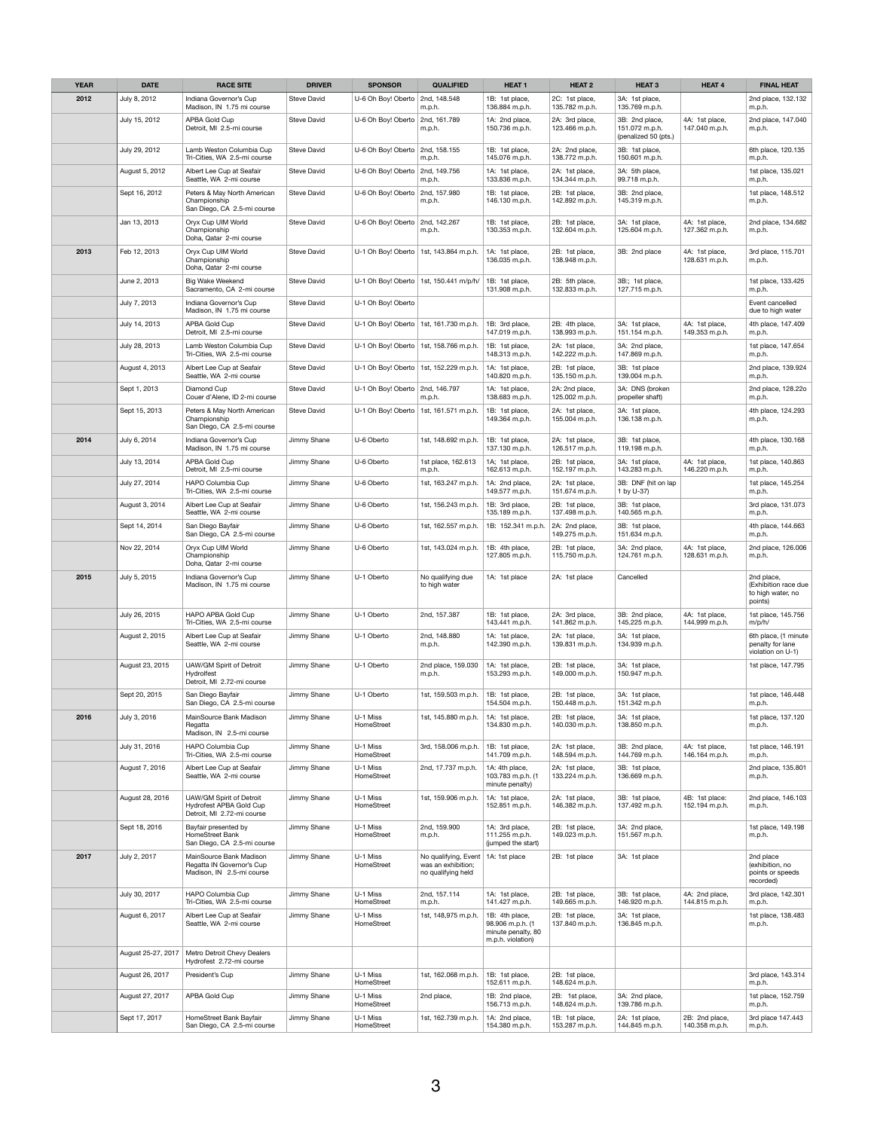| <b>YEAR</b> | <b>DATE</b>        | <b>RACE SITE</b>                                                                  | <b>DRIVER</b>      | <b>SPONSOR</b>                           | <b>QUALIFIED</b>                                                 | <b>HEAT1</b>                                                                  | <b>HEAT 2</b>                    | <b>HEAT 3</b>                                            | <b>HEAT 4</b>                    | <b>FINAL HEAT</b>                                                  |
|-------------|--------------------|-----------------------------------------------------------------------------------|--------------------|------------------------------------------|------------------------------------------------------------------|-------------------------------------------------------------------------------|----------------------------------|----------------------------------------------------------|----------------------------------|--------------------------------------------------------------------|
| 2012        | July 8, 2012       | Indiana Governor's Cup<br>Madison, IN 1.75 mi course                              | Steve David        | U-6 Oh Boy! Oberto $\vert$ 2nd, 148.548  | m.p.h.                                                           | 1B: 1st place,<br>136.884 m.p.h.                                              | 2C: 1st place,<br>135.782 m.p.h. | 3A: 1st place,<br>135.769 m.p.h.                         |                                  | 2nd place, 132.132<br>m.p.h.                                       |
|             | July 15, 2012      | APBA Gold Cup<br>Detroit, MI 2.5-mi course                                        | <b>Steve David</b> | U-6 Oh Boy! Oberto                       | 2nd, 161.789<br>m.p.h.                                           | 1A: 2nd place,<br>150.736 m.p.h.                                              | 2A: 3rd place,<br>123.466 m.p.h. | 3B: 2nd place,<br>151.072 m.p.h.<br>(penalized 50 (pts.) | 4A: 1st place,<br>147.040 m.p.h. | 2nd place, 147.040<br>m.p.h.                                       |
|             | July 29, 2012      | Lamb Weston Columbia Cup<br>Tri-Cities, WA 2.5-mi course                          | <b>Steve David</b> | U-6 Oh Boy! Oberto                       | 2nd, 158.155<br>m.p.h.                                           | 1B: 1st place,<br>145.076 m.p.h.                                              | 2A: 2nd place,<br>138.772 m.p.h. | 3B: 1st place,<br>150.601 m.p.h.                         |                                  | 6th place, 120.135<br>m.p.h.                                       |
|             | August 5, 2012     | Albert Lee Cup at Seafair<br>Seattle, WA 2-mi course                              | <b>Steve David</b> | U-6 Oh Boy! Oberto   2nd, 149.756        | m.p.h.                                                           | 1A: 1st place,<br>133.836 m.p.h.                                              | 2A: 1st place,<br>134.344 m.p.h. | 3A: 5th place,<br>99.718 m.p.h.                          |                                  | 1st place, 135.021<br>m.p.h.                                       |
|             | Sept 16, 2012      | Peters & May North American<br>Championship<br>San Diego, CA 2.5-mi course        | <b>Steve David</b> | U-6 Oh Boy! Oberto                       | 2nd, 157.980<br>m.p.h.                                           | 1B: 1st place,<br>146.130 m.p.h.                                              | 2B: 1st place,<br>142.892 m.p.h. | 3B: 2nd place,<br>145.319 m.p.h.                         |                                  | 1st place, 148.512<br>m.p.h.                                       |
|             | Jan 13, 2013       | Oryx Cup UIM World<br>Championship<br>Doha, Qatar 2-mi course                     | <b>Steve David</b> | U-6 Oh Boy! Oberto                       | 2nd, 142.267<br>m.p.h.                                           | 1B: 1st place,<br>130.353 m.p.h.                                              | 2B: 1st place,<br>132.604 m.p.h. | 3A: 1st place,<br>125.604 m.p.h.                         | 4A: 1st place,<br>127.362 m.p.h. | 2nd place, 134.682<br>m.p.h.                                       |
| 2013        | Feb 12, 2013       | Oryx Cup UIM World<br>Championship<br>Doha, Qatar 2-mi course                     | <b>Steve David</b> | U-1 Oh Boy! Oberto                       | 1st, 143.864 m.p.h.                                              | 1A: 1st place,<br>136.035 m.p.h.                                              | 2B: 1st place,<br>138.948 m.p.h. | 3B: 2nd place                                            | 4A: 1st place,<br>128.631 m.p.h. | 3rd place, 115.701<br>m.p.h.                                       |
|             | June 2, 2013       | <b>Big Wake Weekend</b><br>Sacramento, CA 2-mi course                             | <b>Steve David</b> | U-1 Oh Boy! Oberto                       | 1st, 150.441 m/p/h/                                              | 1B: 1st place,<br>131.908 m.p.h.                                              | 2B: 5th place,<br>132.833 m.p.h. | 3B:; 1st place,<br>127.715 m.p.h.                        |                                  | 1st place, 133.425<br>m.p.h.                                       |
|             | July 7, 2013       | Indiana Governor's Cup<br>Madison, IN 1.75 mi course                              | <b>Steve David</b> | U-1 Oh Boy! Oberto                       |                                                                  |                                                                               |                                  |                                                          |                                  | Event cancelled<br>due to high water                               |
|             | July 14, 2013      | APBA Gold Cup<br>Detroit, MI 2.5-mi course                                        | Steve David        | U-1 Oh Boy! Oberto   1st, 161.730 m.p.h. |                                                                  | 1B: 3rd place,<br>147.019 m.p.h.                                              | 2B: 4th place,<br>138.993 m.p.h. | 3A: 1st place,<br>151.154 m.p.h.                         | 4A: 1st place,<br>149.353 m.p.h. | 4th place, 147.409<br>m.p.h.                                       |
|             | July 28, 2013      | Lamb Weston Columbia Cup<br>Tri-Cities, WA 2.5-mi course                          | <b>Steve David</b> | U-1 Oh Boy! Oberto   1st, 158.766 m.p.h. |                                                                  | 1B: 1st place,<br>148.313 m.p.h.                                              | 2A: 1st place,<br>142.222 m.p.h. | 3A: 2nd place,<br>147.869 m.p.h.                         |                                  | 1st place, 147.654<br>m.p.h.                                       |
|             | August 4, 2013     | Albert Lee Cup at Seafair<br>Seattle, WA 2-mi course                              | Steve David        | U-1 Oh Boy! Oberto                       | 1st, 152.229 m.p.h.                                              | 1A: 1st place,<br>140.820 m.p.h.                                              | 2B: 1st place,<br>135.150 m.p.h. | 3B: 1st place<br>139.004 m.p.h.                          |                                  | 2nd place, 139.924<br>m.p.h.                                       |
|             | Sept 1, 2013       | Diamond Cup<br>Couer d'Alene, ID 2-mi course                                      | <b>Steve David</b> | U-1 Oh Boy! Oberto                       | 2nd, 146.797<br>m.p.h.                                           | 1A: 1st place,<br>138.683 m.p.h.                                              | 2A: 2nd place,<br>125.002 m.p.h. | 3A: DNS (broken<br>propeller shaft)                      |                                  | 2nd place, 128.22o<br>m.p.h.                                       |
|             | Sept 15, 2013      | Peters & May North American<br>Championship<br>San Diego, CA 2.5-mi course        | <b>Steve David</b> | U-1 Oh Boy! Oberto   1st, 161.571 m.p.h. |                                                                  | 1B: 1st place,<br>149.364 m.p.h.                                              | 2A: 1st place,<br>155.004 m.p.h. | 3A: 1st place,<br>136.138 m.p.h.                         |                                  | 4th place, 124.293<br>m.p.h.                                       |
| 2014        | July 6, 2014       | Indiana Governor's Cup<br>Madison, IN 1.75 mi course                              | Jimmy Shane        | U-6 Oberto                               | 1st, 148.692 m.p.h.                                              | 1B: 1st place,<br>137.130 m.p.h.                                              | 2A: 1st place,<br>126.517 m.p.h. | 3B: 1st place,<br>119.198 m.p.h.                         |                                  | 4th place, 130.168<br>m.p.h.                                       |
|             | July 13, 2014      | APBA Gold Cup<br>Detroit, MI 2.5-mi course                                        | Jimmy Shane        | U-6 Oberto                               | 1st place, 162.613<br>m.p.h.                                     | 1A; 1st place,<br>162.613 m.p.h.                                              | 2B: 1st place,<br>152.197 m.p.h. | 3A: 1st place,<br>143.283 m.p.h.                         | 4A: 1st place,<br>146.220 m.p.h. | 1st place, 140.863<br>m.p.h.                                       |
|             | July 27, 2014      | HAPO Columbia Cup<br>Tri-Cities, WA 2.5-mi course                                 | Jimmy Shane        | U-6 Oberto                               | 1st, 163.247 m.p.h.                                              | 1A: 2nd place,<br>149.577 m.p.h.                                              | 2A: 1st place,<br>151.674 m.p.h. | 3B: DNF (hit on lap<br>1 by U-37)                        |                                  | 1st place, 145.254<br>m.p.h.                                       |
|             | August 3, 2014     | Albert Lee Cup at Seafair<br>Seattle, WA 2-mi course                              | Jimmy Shane        | U-6 Oberto                               | 1st, 156.243 m.p.h.                                              | 1B: 3rd place,<br>135.189 m.p.h.                                              | 2B: 1st place,<br>137.498 m.p.h. | 3B: 1st place,<br>140.565 m.p.h.                         |                                  | 3rd place, 131.073<br>m.p.h.                                       |
|             | Sept 14, 2014      | San Diego Bayfair<br>San Diego, CA 2.5-mi course                                  | Jimmy Shane        | U-6 Oberto                               | 1st, 162.557 m.p.h.                                              | 1B: 152.341 m.p.h.                                                            | 2A: 2nd place,<br>149.275 m.p.h. | 3B: 1st place,<br>151.634 m.p.h.                         |                                  | 4th place, 144.663<br>m.p.h.                                       |
|             | Nov 22, 2014       | Oryx Cup UIM World<br>Championship<br>Doha, Qatar 2-mi course                     | Jimmy Shane        | U-6 Oberto                               | 1st, 143.024 m.p.h.                                              | 1B: 4th place,<br>127.805 m.p.h.                                              | 2B: 1st place,<br>115.750 m.p.h. | 3A: 2nd place,<br>124.761 m.p.h.                         | 4A: 1st place,<br>128.631 m.p.h. | 2nd place, 126.006<br>m.p.h.                                       |
| 2015        | July 5, 2015       | Indiana Governor's Cup<br>Madison, IN 1.75 mi course                              | Jimmy Shane        | U-1 Oberto                               | No qualifying due<br>to high water                               | 1A: 1st place                                                                 | 2A: 1st place                    | Cancelled                                                |                                  | 2nd place,<br>(Exhibition race due<br>to high water, no<br>points) |
|             | July 26, 2015      | <b>HAPO APBA Gold Cup</b><br>Tri-Cities, WA 2.5-mi course                         | Jimmy Shane        | U-1 Oberto                               | 2nd, 157.387                                                     | 1B: 1st place,<br>143.441 m.p.h.                                              | 2A: 3rd place,<br>141.862 m.p.h. | 3B: 2nd place,<br>145.225 m.p.h.                         | 4A: 1st place,<br>144.999 m.p.h. | 1st place, 145.756<br>m/p/h/                                       |
|             | August 2, 2015     | Albert Lee Cup at Seafair<br>Seattle, WA 2-mi course                              | Jimmy Shane        | U-1 Oberto                               | 2nd, 148.880<br>m.p.h.                                           | 1A: 1st place,<br>142.390 m.p.h.                                              | 2A: 1st place,<br>139.831 m.p.h. | 3A: 1st place,<br>134.939 m.p.h.                         |                                  | 6th place, (1 minute<br>penalty for lane<br>violation on U-1)      |
|             | August 23, 2015    | UAW/GM Spirit of Detroit<br>Hydrolfest<br>Detroit, MI 2.72-mi course              | Jimmy Shane        | U-1 Oberto                               | 2nd place, 159.030<br>m.p.h.                                     | 1A: 1st place,<br>153.293 m.p.h.                                              | 2B: 1st place,<br>149.000 m.p.h. | 3A: 1st place,<br>150.947 m.p.h.                         |                                  | 1st place, 147.795                                                 |
|             | Sept 20, 2015      | San Diego Bayfair<br>San Diego, CA 2.5-mi course                                  | Jimmy Shane        | U-1 Oberto                               | 1st, 159.503 m.p.h.                                              | 1B: 1st place,<br>154.504 m.p.h.                                              | 2B: 1st place,<br>150.448 m.p.h. | 3A: 1st place,<br>151.342 m.p.h                          |                                  | 1st place, 146.448<br>m.p.h.                                       |
| 2016        | July 3, 2016       | MainSource Bank Madison<br>Regatta<br>Madison, IN 2.5-mi course                   | Jimmy Shane        | U-1 Miss<br>HomeStreet                   | 1st, 145.880 m.p.h.                                              | 1A: 1st place,<br>134.830 m.p.h.                                              | 2B: 1st place,<br>140.030 m.p.h. | 3A: 1st place,<br>138.850 m.p.h.                         |                                  | 1st place, 137.120<br>m.p.h.                                       |
|             | July 31, 2016      | HAPO Columbia Cup<br>Tri-Cities, WA 2.5-mi course                                 | Jimmy Shane        | U-1 Miss<br>HomeStreet                   | 3rd, 158.006 m.p.h.                                              | 1B: 1st place,<br>141.709 m.p.h.                                              | 2A: 1st place,<br>148.594 m.p.h. | 3B: 2nd place,<br>144.769 m.p.h.                         | 4A: 1st place,<br>146.164 m.p.h. | 1st place, 146.191<br>m.p.h.                                       |
|             | August 7, 2016     | Albert Lee Cup at Seafair<br>Seattle, WA 2-mi course                              | Jimmy Shane        | U-1 Miss<br>HomeStreet                   | 2nd, 17.737 m.p.h.                                               | 1A: 4th place,<br>103.783 m.p.h. (1<br>minute penalty)                        | 2A: 1st place,<br>133.224 m.p.h. | 3B: 1st place,<br>136.669 m.p.h.                         |                                  | 2nd place, 135.801<br>m.p.h.                                       |
|             | August 28, 2016    | UAW/GM Spirit of Detroit<br>Hydrofest APBA Gold Cup<br>Detroit, MI 2.72-mi course | Jimmy Shane        | U-1 Miss<br>HomeStreet                   | 1st, 159.906 m.p.h.                                              | 1A: 1st place,<br>152.851 m.p.h.                                              | 2A: 1st place,<br>146.382 m.p.h. | 3B: 1st place,<br>137.492 m.p.h.                         | 4B: 1st place:<br>152.194 m.p.h. | 2nd place, 146.103<br>m.p.h.                                       |
|             | Sept 18, 2016      | Bayfair presented by<br>HomeStreet Bank<br>San Diego, CA 2.5-mi course            | Jimmy Shane        | U-1 Miss<br>HomeStreet                   | 2nd, 159.900<br>m.p.h.                                           | 1A: 3rd place,<br>111.255 m.p.h.<br>(jumped the start)                        | 2B: 1st place,<br>149.023 m.p.h. | 3A: 2nd place,<br>151.567 m.p.h.                         |                                  | 1st place, 149.198<br>m.p.h.                                       |
| 2017        | July 2, 2017       | MainSource Bank Madison<br>Regatta IN Governor's Cup<br>Madison, IN 2.5-mi course | Jimmy Shane        | U-1 Miss<br>HomeStreet                   | No qualifying, Event<br>was an exhibition;<br>no qualifying held | 1A: 1st place                                                                 | 2B: 1st place                    | 3A: 1st place                                            |                                  | 2nd place<br>(exhibition, no<br>points or speeds<br>recorded)      |
|             | July 30, 2017      | <b>HAPO Columbia Cup</b><br>Tri-Cities, WA 2.5-mi course                          | Jimmy Shane        | U-1 Miss<br>HomeStreet                   | 2nd, 157.114<br>m.p.h.                                           | 1A: 1st place,<br>141.427 m.p.h.                                              | 2B: 1st place,<br>149.665 m.p.h. | 3B: 1st place,<br>146.920 m.p.h.                         | 4A: 2nd place,<br>144.815 m.p.h. | 3rd place, 142.301<br>m.p.h.                                       |
|             | August 6, 2017     | Albert Lee Cup at Seafair<br>Seattle, WA 2-mi course                              | Jimmy Shane        | U-1 Miss<br>HomeStreet                   | 1st, 148,975 m.p.h.                                              | 1B: 4th place,<br>98.906 m.p.h. (1<br>minute penalty, 80<br>m.p.h. violation) | 2B: 1st place,<br>137.840 m.p.h. | 3A: 1st place,<br>136.845 m.p.h.                         |                                  | 1st place, 138.483<br>m.p.h.                                       |
|             | August 25-27, 2017 | Metro Detroit Chevy Dealers<br>Hydrofest 2.72-mi course                           |                    |                                          |                                                                  |                                                                               |                                  |                                                          |                                  |                                                                    |
|             | August 26, 2017    | President's Cup                                                                   | Jimmy Shane        | U-1 Miss<br>HomeStreet                   | 1st, 162.068 m.p.h.                                              | 1B: 1st place,<br>152.611 m.p.h.                                              | 2B: 1st place,<br>148.624 m.p.h. |                                                          |                                  | 3rd place, 143.314<br>m.p.h.                                       |
|             | August 27, 2017    | APBA Gold Cup                                                                     | Jimmy Shane        | U-1 Miss<br>HomeStreet                   | 2nd place,                                                       | 1B: 2nd place,<br>156.713 m.p.h.                                              | 2B: 1st place,<br>148.624 m.p.h. | 3A: 2nd place,<br>139.786 m.p.h.                         |                                  | 1st place, 152.759<br>m.p.h.                                       |
|             | Sept 17, 2017      | HomeStreet Bank Bayfair<br>San Diego, CA 2.5-mi course                            | Jimmy Shane        | U-1 Miss<br>HomeStreet                   | 1st, 162.739 m.p.h.                                              | 1A: 2nd place,<br>154.380 m.p.h.                                              | 1B: 1st place,<br>153.287 m.p.h. | 2A: 1st place,<br>144.845 m.p.h.                         | 2B: 2nd place,<br>140.358 m.p.h. | 3rd place 147.443<br>m.p.h.                                        |